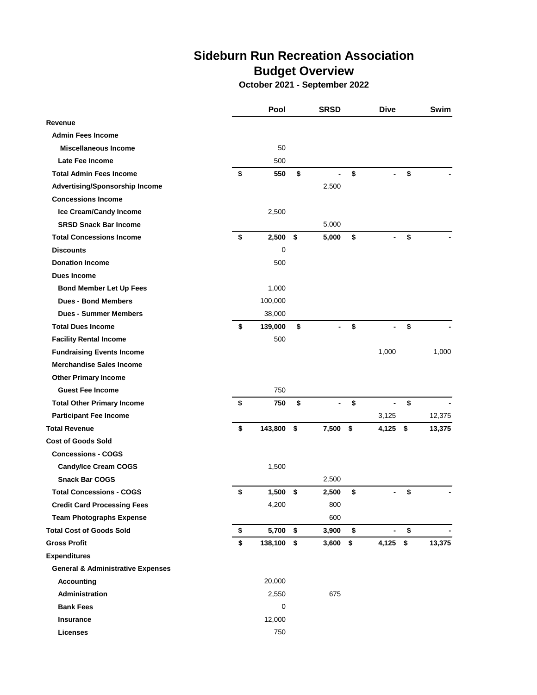## **Sideburn Run Recreation Association Budget Overview**

**October 2021 - September 2022**

|                                              | Pool             | <b>SRSD</b>          | Dive                               | Swim         |
|----------------------------------------------|------------------|----------------------|------------------------------------|--------------|
| Revenue                                      |                  |                      |                                    |              |
| <b>Admin Fees Income</b>                     |                  |                      |                                    |              |
| <b>Miscellaneous Income</b>                  | 50               |                      |                                    |              |
| Late Fee Income                              | 500              |                      |                                    |              |
| <b>Total Admin Fees Income</b>               | \$<br>550        | \$<br>$\blacksquare$ | \$<br>-                            | \$           |
| Advertising/Sponsorship Income               |                  | 2,500                |                                    |              |
| <b>Concessions Income</b>                    |                  |                      |                                    |              |
| Ice Cream/Candy Income                       | 2,500            |                      |                                    |              |
| <b>SRSD Snack Bar Income</b>                 |                  | 5,000                |                                    |              |
| <b>Total Concessions Income</b>              | \$<br>$2,500$ \$ | 5,000                | \$                                 | \$           |
| <b>Discounts</b>                             | 0                |                      |                                    |              |
| <b>Donation Income</b>                       | 500              |                      |                                    |              |
| Dues Income                                  |                  |                      |                                    |              |
| <b>Bond Member Let Up Fees</b>               | 1,000            |                      |                                    |              |
| <b>Dues - Bond Members</b>                   | 100,000          |                      |                                    |              |
| <b>Dues - Summer Members</b>                 | 38,000           |                      |                                    |              |
| <b>Total Dues Income</b>                     | \$<br>139,000    | \$<br>$\overline{a}$ | \$<br>$\overline{\phantom{0}}$     | \$           |
| <b>Facility Rental Income</b>                | 500              |                      |                                    |              |
| <b>Fundraising Events Income</b>             |                  |                      | 1,000                              | 1,000        |
| <b>Merchandise Sales Income</b>              |                  |                      |                                    |              |
| <b>Other Primary Income</b>                  |                  |                      |                                    |              |
| <b>Guest Fee Income</b>                      | 750              |                      |                                    |              |
| <b>Total Other Primary Income</b>            | \$<br>750        | \$                   | \$                                 | \$           |
| <b>Participant Fee Income</b>                |                  |                      | 3,125                              | 12,375       |
| <b>Total Revenue</b>                         | \$<br>143,800    | \$<br>7,500          | \$<br>4,125                        | \$<br>13,375 |
| <b>Cost of Goods Sold</b>                    |                  |                      |                                    |              |
| <b>Concessions - COGS</b>                    |                  |                      |                                    |              |
| <b>Candy/Ice Cream COGS</b>                  | 1,500            |                      |                                    |              |
| <b>Snack Bar COGS</b>                        |                  | 2,500                |                                    |              |
| <b>Total Concessions - COGS</b>              | \$<br>1,500      | \$<br>2.500          | \$                                 | \$           |
| <b>Credit Card Processing Fees</b>           | 4,200            | 800                  |                                    |              |
| <b>Team Photographs Expense</b>              |                  | 600                  |                                    |              |
| <b>Total Cost of Goods Sold</b>              | \$<br>5,700 \$   | 3,900                | \$<br>$\qquad \qquad \blacksquare$ | \$           |
| <b>Gross Profit</b>                          | \$<br>138,100    | \$<br>3,600          | \$<br>$4,125$ \$                   | 13,375       |
| <b>Expenditures</b>                          |                  |                      |                                    |              |
| <b>General &amp; Administrative Expenses</b> |                  |                      |                                    |              |
| <b>Accounting</b>                            | 20,000           |                      |                                    |              |
| <b>Administration</b>                        | 2,550            | 675                  |                                    |              |
| <b>Bank Fees</b>                             | 0                |                      |                                    |              |
| <b>Insurance</b>                             | 12,000           |                      |                                    |              |
| <b>Licenses</b>                              | 750              |                      |                                    |              |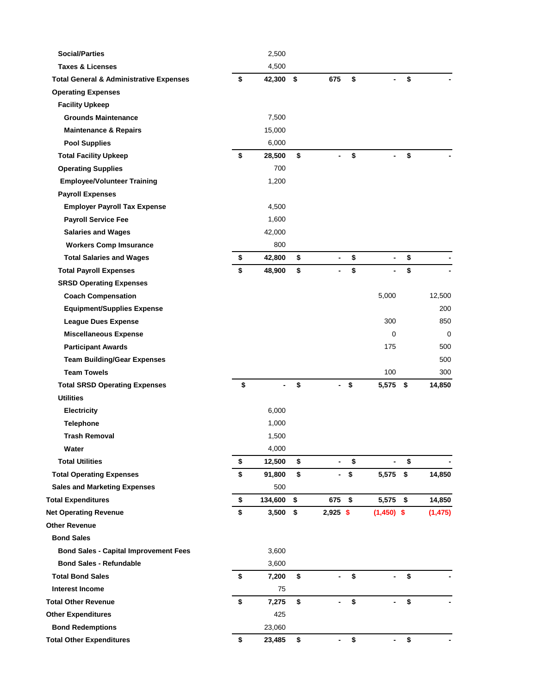| <b>Social/Parties</b>                              | 2,500                |                                |                                    |     |          |
|----------------------------------------------------|----------------------|--------------------------------|------------------------------------|-----|----------|
| <b>Taxes &amp; Licenses</b>                        | 4,500                |                                |                                    |     |          |
| <b>Total General &amp; Administrative Expenses</b> | \$<br>42,300 \$      | 675                            | \$                                 | \$  |          |
| <b>Operating Expenses</b>                          |                      |                                |                                    |     |          |
| <b>Facility Upkeep</b>                             |                      |                                |                                    |     |          |
| <b>Grounds Maintenance</b>                         | 7,500                |                                |                                    |     |          |
| <b>Maintenance &amp; Repairs</b>                   | 15,000               |                                |                                    |     |          |
| <b>Pool Supplies</b>                               | 6,000                |                                |                                    |     |          |
| <b>Total Facility Upkeep</b>                       | \$<br>28,500         | \$                             | \$                                 | \$  |          |
| <b>Operating Supplies</b>                          | 700                  |                                |                                    |     |          |
| <b>Employee/Volunteer Training</b>                 | 1,200                |                                |                                    |     |          |
| <b>Payroll Expenses</b>                            |                      |                                |                                    |     |          |
| <b>Employer Payroll Tax Expense</b>                | 4,500                |                                |                                    |     |          |
| <b>Payroll Service Fee</b>                         | 1,600                |                                |                                    |     |          |
| <b>Salaries and Wages</b>                          | 42,000               |                                |                                    |     |          |
| <b>Workers Comp Imsurance</b>                      | 800                  |                                |                                    |     |          |
| <b>Total Salaries and Wages</b>                    | \$<br>42,800         | \$<br>$\overline{\phantom{a}}$ | \$<br>$\overline{\phantom{0}}$     | \$  |          |
| <b>Total Payroll Expenses</b>                      | \$<br>48,900         | \$                             | \$                                 | \$  |          |
| <b>SRSD Operating Expenses</b>                     |                      |                                |                                    |     |          |
| <b>Coach Compensation</b>                          |                      |                                | 5,000                              |     | 12,500   |
| <b>Equipment/Supplies Expense</b>                  |                      |                                |                                    |     | 200      |
| <b>League Dues Expense</b>                         |                      |                                | 300                                |     | 850      |
| <b>Miscellaneous Expense</b>                       |                      |                                | 0                                  |     | 0        |
| <b>Participant Awards</b>                          |                      |                                | 175                                |     | 500      |
| <b>Team Building/Gear Expenses</b>                 |                      |                                |                                    |     | 500      |
| <b>Team Towels</b>                                 |                      |                                | 100                                |     | 300      |
| <b>Total SRSD Operating Expenses</b>               | \$<br>$\overline{a}$ | \$<br>$\overline{\phantom{0}}$ | \$<br>5,575                        | -\$ | 14,850   |
| <b>Utilities</b>                                   |                      |                                |                                    |     |          |
| <b>Electricity</b>                                 | 6,000                |                                |                                    |     |          |
| <b>Telephone</b>                                   | 1,000                |                                |                                    |     |          |
| <b>Trash Removal</b>                               | 1,500                |                                |                                    |     |          |
| Water                                              | 4,000                |                                |                                    |     |          |
| <b>Total Utilities</b>                             | \$<br>12,500         | \$<br>$\overline{\phantom{0}}$ | \$<br>$\qquad \qquad \blacksquare$ | \$  |          |
| <b>Total Operating Expenses</b>                    | \$<br>91,800         | \$<br>۰.                       | \$<br>5,575 \$                     |     | 14,850   |
| <b>Sales and Marketing Expenses</b>                | 500                  |                                |                                    |     |          |
| <b>Total Expenditures</b>                          | \$<br>134,600        | \$<br>675 \$                   | 5,575 \$                           |     | 14,850   |
| <b>Net Operating Revenue</b>                       | \$<br>$3,500$ \$     | $2,925$ \$                     | $(1,450)$ \$                       |     | (1, 475) |
| <b>Other Revenue</b>                               |                      |                                |                                    |     |          |
| <b>Bond Sales</b>                                  |                      |                                |                                    |     |          |
| <b>Bond Sales - Capital Improvement Fees</b>       | 3,600                |                                |                                    |     |          |
| <b>Bond Sales - Refundable</b>                     | 3,600                |                                |                                    |     |          |
| <b>Total Bond Sales</b>                            | \$<br>7,200          | \$                             | \$                                 | \$  |          |
| <b>Interest Income</b>                             | 75                   |                                |                                    |     |          |
| <b>Total Other Revenue</b>                         | \$<br>7,275          | \$                             | \$                                 | \$  |          |
| <b>Other Expenditures</b>                          | 425                  |                                |                                    |     |          |
| <b>Bond Redemptions</b>                            | 23,060               |                                |                                    |     |          |
| <b>Total Other Expenditures</b>                    | \$<br>23,485         | \$<br>-                        | \$<br>-                            | \$  |          |
|                                                    |                      |                                |                                    |     |          |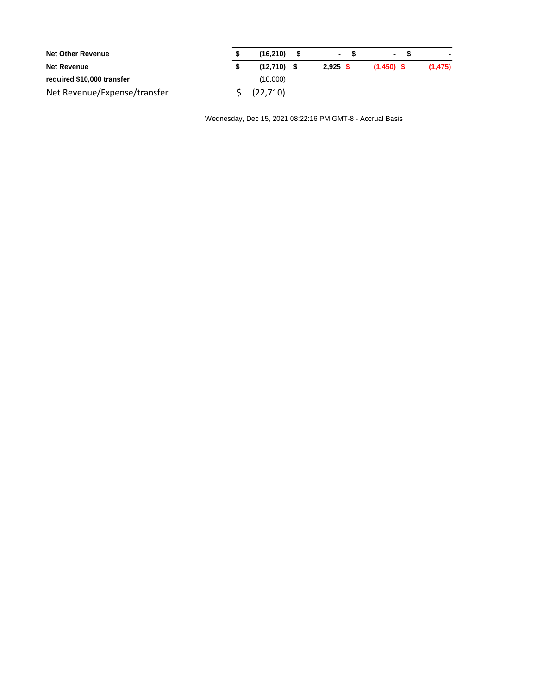| <b>Net Other Revenue</b>     | (16, 210)     | $\sim$  | $\sim$       |         |
|------------------------------|---------------|---------|--------------|---------|
| <b>Net Revenue</b>           | $(12,710)$ \$ | 2.925 S | $(1.450)$ \$ | (1.475) |
| required \$10,000 transfer   | (10,000)      |         |              |         |
| Net Revenue/Expense/transfer | (22,710)      |         |              |         |

Wednesday, Dec 15, 2021 08:22:16 PM GMT-8 - Accrual Basis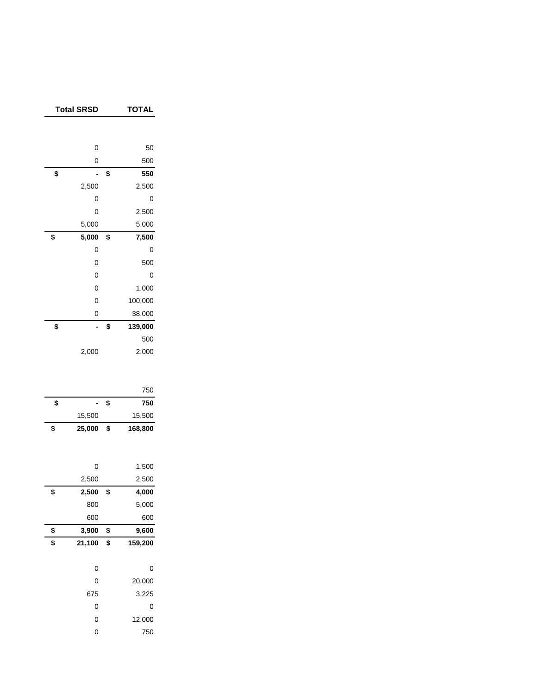| <b>Total SRSD</b> | TOTAL         |  |
|-------------------|---------------|--|
|                   |               |  |
| 0                 | 50            |  |
| 0                 | 500           |  |
| \$                | \$<br>550     |  |
| 2,500             | 2,500         |  |
| 0                 | 0             |  |
| 0                 | 2,500         |  |
| 5,000             | 5,000         |  |
| \$<br>5,000       | \$<br>7,500   |  |
| 0                 | 0             |  |
| 0                 | 500           |  |
| 0                 | 0             |  |
| 0                 | 1,000         |  |
| 0                 | 100,000       |  |
| 0                 | 38,000        |  |
| \$<br>٠           | \$<br>139,000 |  |
|                   | 500           |  |
| 2,000             | 2,000         |  |
|                   |               |  |
|                   |               |  |
|                   | 750           |  |
| \$                | \$<br>750     |  |
| 15,500            | 15,500        |  |
| \$<br>25,000      | \$<br>168,800 |  |
|                   |               |  |
| 0                 | 1,500         |  |
| 2,500             | 2,500         |  |
| \$<br>2,500       | \$<br>4,000   |  |
| 800               | 5,000         |  |
| 600               | 600           |  |
| \$<br>3,900       | \$<br>9,600   |  |
| \$<br>21,100      | \$<br>159,200 |  |
|                   |               |  |
| 0                 | 0             |  |
| 0                 | 20,000        |  |
| 675               | 3,225         |  |
| 0                 | 0             |  |
| 0                 | 12,000        |  |
| $\mathbf 0$       | 750           |  |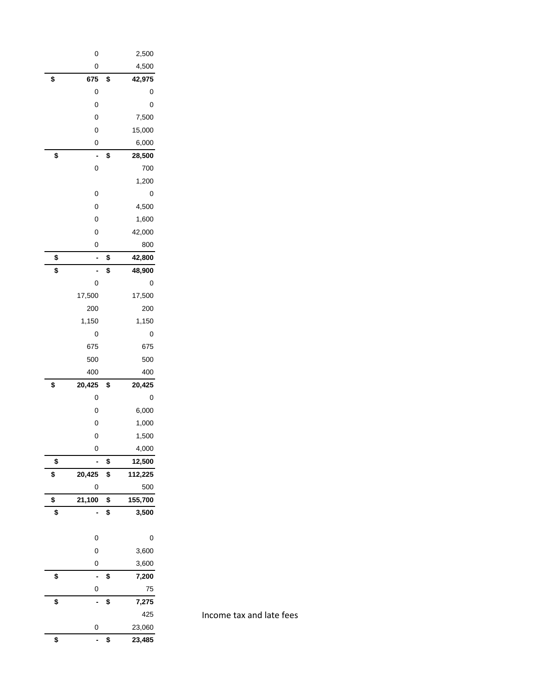| 0                 | 2,500                |
|-------------------|----------------------|
| 0                 | 4,500                |
| \$<br>675         | \$<br>42,975         |
| 0                 | 0                    |
| 0                 | 0                    |
| 0                 | 7,500                |
| 0                 | 15,000               |
| 0                 | 6,000                |
| \$                | \$<br>28,500         |
| 0                 | 700                  |
|                   | 1,200                |
| 0                 | 0                    |
| 0                 | 4,500                |
| 0                 | 1,600                |
| 0                 | 42,000               |
| 0                 | 800                  |
| \$<br>-           | \$<br>42,800         |
| \$                | \$<br>48,900         |
| 0                 | 0                    |
| 17,500            | 17,500               |
| 200               | 200                  |
| 1,150             | 1,150                |
| 0                 | 0                    |
| 675               | 675                  |
| 500               | 500                  |
| 400               | 400                  |
| \$<br>20,425      | \$<br>20,425         |
| 0                 | 0                    |
| 0                 | 6,000                |
| 0                 | 1,000                |
| 0                 | 1,500                |
| 0                 | 4,000                |
| \$                | \$<br>12,500         |
| \$<br>20,425<br>0 | \$<br>112,225<br>500 |
| \$<br>21,100      | \$<br>155,700        |
| \$                | \$<br>3,500          |
|                   |                      |
| 0                 | 0                    |
| 0                 | 3,600                |
| 0                 | 3,600                |
| \$                | \$<br>7,200          |
| 0                 | 75                   |
| \$                | \$<br>7,275          |
|                   | 425                  |
| 0                 | 23,060               |
| \$                | \$<br>23,485         |

Income tax and late fees